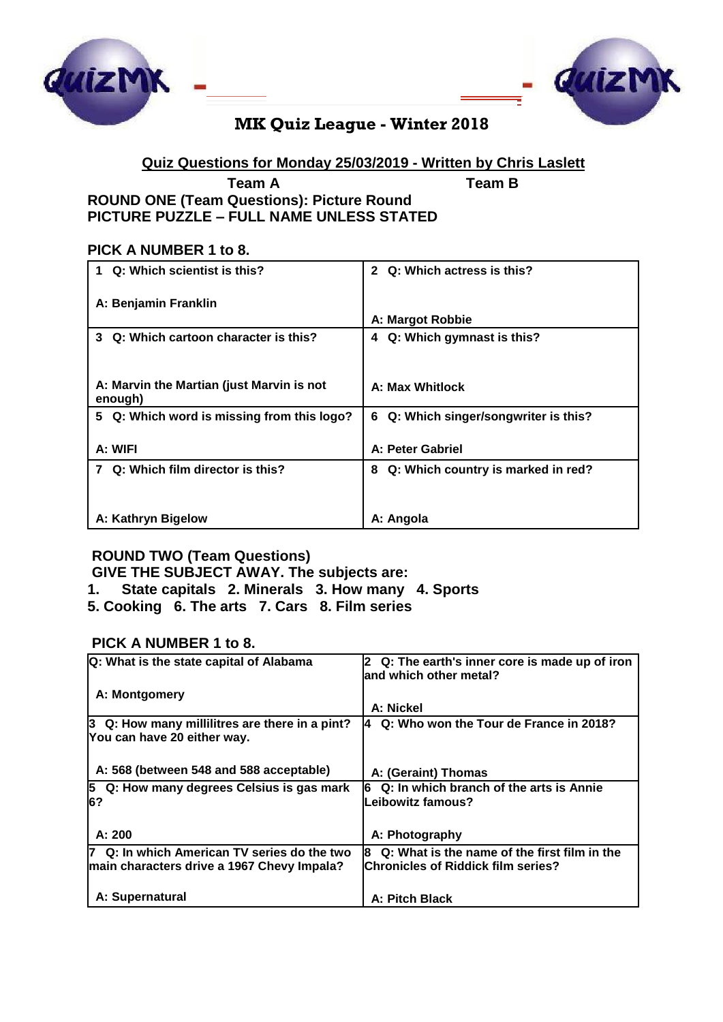



# **MK Quiz League - Winter 2018**

# **Quiz Questions for Monday 25/03/2019 - Written by Chris Laslett**

### **Team A Team B ROUND ONE (Team Questions): Picture Round PICTURE PUZZLE – FULL NAME UNLESS STATED**

### **PICK A NUMBER 1 to 8.**

| Q: Which scientist is this?                          | Q: Which actress is this?<br>$\mathbf{2}$ |
|------------------------------------------------------|-------------------------------------------|
| A: Benjamin Franklin                                 |                                           |
|                                                      | A: Margot Robbie                          |
| Q: Which cartoon character is this?<br>3             | Q: Which gymnast is this?<br>4            |
| A: Marvin the Martian (just Marvin is not<br>enough) | <b>A: Max Whitlock</b>                    |
| 5 Q: Which word is missing from this logo?           | Q: Which singer/songwriter is this?<br>6. |
| A: WIFI                                              | A: Peter Gabriel                          |
| Q: Which film director is this?                      | Q: Which country is marked in red?<br>8   |
|                                                      |                                           |
| A: Kathryn Bigelow                                   | A: Angola                                 |

# **ROUND TWO (Team Questions)**

**GIVE THE SUBJECT AWAY. The subjects are:**

- **1. State capitals 2. Minerals 3. How many 4. Sports**
- **5. Cooking 6. The arts 7. Cars 8. Film series**

### **PICK A NUMBER 1 to 8.**

| Q: What is the state capital of Alabama                                                   | 2 Q: The earth's inner core is made up of iron<br>land which other metal?                       |
|-------------------------------------------------------------------------------------------|-------------------------------------------------------------------------------------------------|
| A: Montgomery                                                                             | A: Nickel                                                                                       |
| 3 Q: How many millilitres are there in a pint?<br>You can have 20 either way.             | Q: Who won the Tour de France in 2018?<br>14.                                                   |
| A: 568 (between 548 and 588 acceptable)                                                   | A: (Geraint) Thomas                                                                             |
| 5 Q: How many degrees Celsius is gas mark<br>6?                                           | Q: In which branch of the arts is Annie<br>16<br>Leibowitz famous?                              |
| A: 200                                                                                    | A: Photography                                                                                  |
| 7 Q: In which American TV series do the two<br>main characters drive a 1967 Chevy Impala? | Q: What is the name of the first film in the<br>18<br><b>Chronicles of Riddick film series?</b> |
| A: Supernatural                                                                           | A: Pitch Black                                                                                  |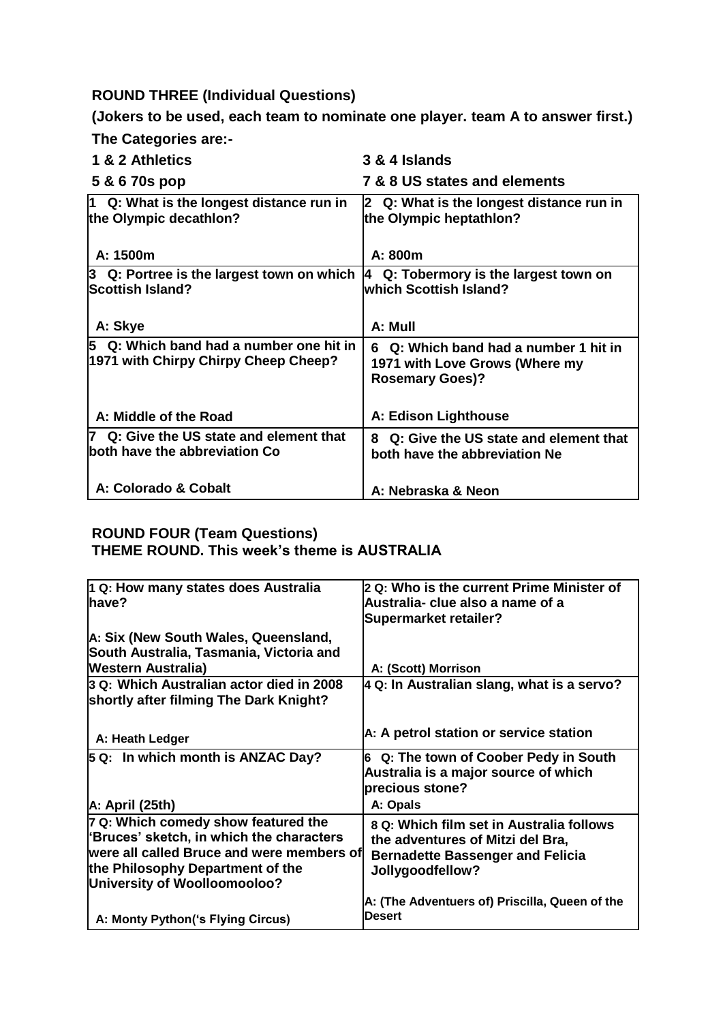### **ROUND THREE (Individual Questions)**

**(Jokers to be used, each team to nominate one player. team A to answer first.) The Categories are:-**

**1 & 2 Athletics 3 & 4 Islands 5 & 6 70s pop 7 & 8 US states and elements 1 Q: What is the longest distance run in the Olympic decathlon? A: 1500m 2 Q: What is the longest distance run in the Olympic heptathlon? A: 800m 3 Q: Portree is the largest town on which Scottish Island? A: Skye 4 Q: Tobermory is the largest town on which Scottish Island? A: Mull 5 Q: Which band had a number one hit in 1971 with Chirpy Chirpy Cheep Cheep? A: Middle of the Road 6 Q: Which band had a number 1 hit in 1971 with Love Grows (Where my Rosemary Goes)? A: Edison Lighthouse 7 Q: Give the US state and element that both have the abbreviation Co A: Colorado & Cobalt 8 Q: Give the US state and element that both have the abbreviation Ne A: Nebraska & Neon**

#### **ROUND FOUR (Team Questions) THEME ROUND. This week's theme is AUSTRALIA**

| 1 Q: How many states does Australia<br>lhave?                                                                                                                                                    | 2 Q: Who is the current Prime Minister of<br>Australia- clue also a name of a<br><b>Supermarket retailer?</b>                               |
|--------------------------------------------------------------------------------------------------------------------------------------------------------------------------------------------------|---------------------------------------------------------------------------------------------------------------------------------------------|
| A: Six (New South Wales, Queensland,<br>South Australia, Tasmania, Victoria and<br><b>Western Australia)</b>                                                                                     | A: (Scott) Morrison                                                                                                                         |
| 3 Q: Which Australian actor died in 2008<br>shortly after filming The Dark Knight?                                                                                                               | $\vert$ 4 Q: In Australian slang, what is a servo?                                                                                          |
| A: Heath Ledger                                                                                                                                                                                  | A: A petrol station or service station                                                                                                      |
| 5 Q: In which month is ANZAC Day?                                                                                                                                                                | 6 Q: The town of Coober Pedy in South<br>Australia is a major source of which<br>precious stone?                                            |
| A: April (25th)                                                                                                                                                                                  | A: Opals                                                                                                                                    |
| 7 Q: Which comedy show featured the<br>'Bruces' sketch, in which the characters<br>were all called Bruce and were members of<br>the Philosophy Department of the<br>University of Woolloomooloo? | 8 Q: Which film set in Australia follows<br>the adventures of Mitzi del Bra,<br><b>Bernadette Bassenger and Felicia</b><br>Jollygoodfellow? |
| A: Monty Python ('s Flying Circus)                                                                                                                                                               | A: (The Adventuers of) Priscilla, Queen of the<br><b>Desert</b>                                                                             |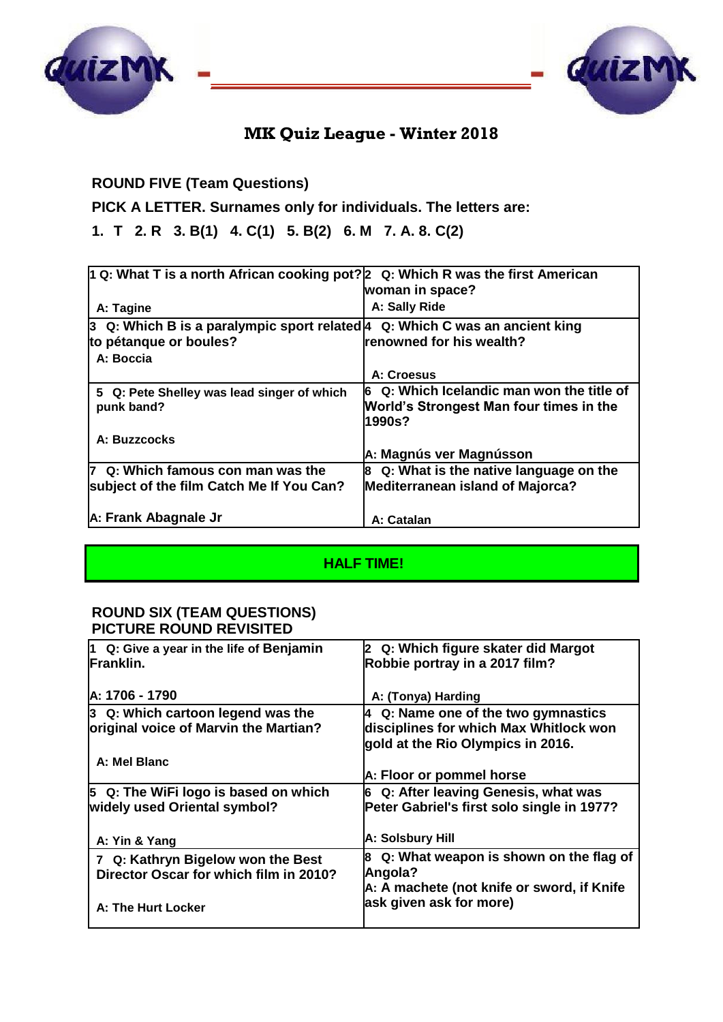



# **MK Quiz League - Winter 2018**

# **ROUND FIVE (Team Questions)**

**PICK A LETTER. Surnames only for individuals. The letters are:**

**1. T 2. R 3. B(1) 4. C(1) 5. B(2) 6. M 7. A. 8. C(2)**

| 1 Q: What T is a north African cooking pot? $ 2\>$ Q: Which R was the first American |                                                |
|--------------------------------------------------------------------------------------|------------------------------------------------|
|                                                                                      | woman in space?                                |
| A: Tagine                                                                            | A: Sally Ride                                  |
| 3   Q: Which B is a paralympic sport related∣4   Q: Which C was an ancient king      |                                                |
| to pétanque or boules?                                                               | renowned for his wealth?                       |
| A: Boccia                                                                            |                                                |
|                                                                                      | A: Croesus                                     |
| 5 Q: Pete Shelley was lead singer of which                                           | Q: Which Icelandic man won the title of<br>l6. |
| punk band?                                                                           | World's Strongest Man four times in the        |
|                                                                                      | 1990s?                                         |
| A: Buzzcocks                                                                         |                                                |
|                                                                                      | A: Magnús ver Magnússon                        |
| 7 Q: Which famous con man was the                                                    | Q: What is the native language on the<br>8     |
| subject of the film Catch Me If You Can?                                             | Mediterranean island of Majorca?               |
|                                                                                      |                                                |
| A: Frank Abagnale Jr                                                                 | A: Catalan                                     |

## **HALF TIME!**

#### **ROUND SIX (TEAM QUESTIONS) PICTURE ROUND REVISITED**

| $ 1 \tQ$ : Give a year in the life of Benjamin | 2 Q: Which figure skater did Margot              |
|------------------------------------------------|--------------------------------------------------|
| <b>IFranklin.</b>                              | Robbie portray in a 2017 film?                   |
|                                                |                                                  |
| A: 1706 - 1790                                 | A: (Tonya) Harding                               |
| $3\,$ Q: Which cartoon legend was the          | Q: Name one of the two gymnastics<br>14          |
| original voice of Marvin the Martian?          | disciplines for which Max Whitlock won           |
|                                                | gold at the Rio Olympics in 2016.                |
| A: Mel Blanc                                   |                                                  |
|                                                | A: Floor or pommel horse                         |
| 5 Q: The WiFi logo is based on which           | 6 Q: After leaving Genesis, what was             |
| widely used Oriental symbol?                   | Peter Gabriel's first solo single in 1977?       |
|                                                |                                                  |
| A: Yin & Yang                                  | A: Solsbury Hill                                 |
| 7 Q: Kathryn Bigelow won the Best              | $\vert$ 8 Q: What weapon is shown on the flag of |
| Director Oscar for which film in 2010?         | Angola?                                          |
|                                                | A: A machete (not knife or sword, if Knife       |
| A: The Hurt Locker                             | ask given ask for more)                          |
|                                                |                                                  |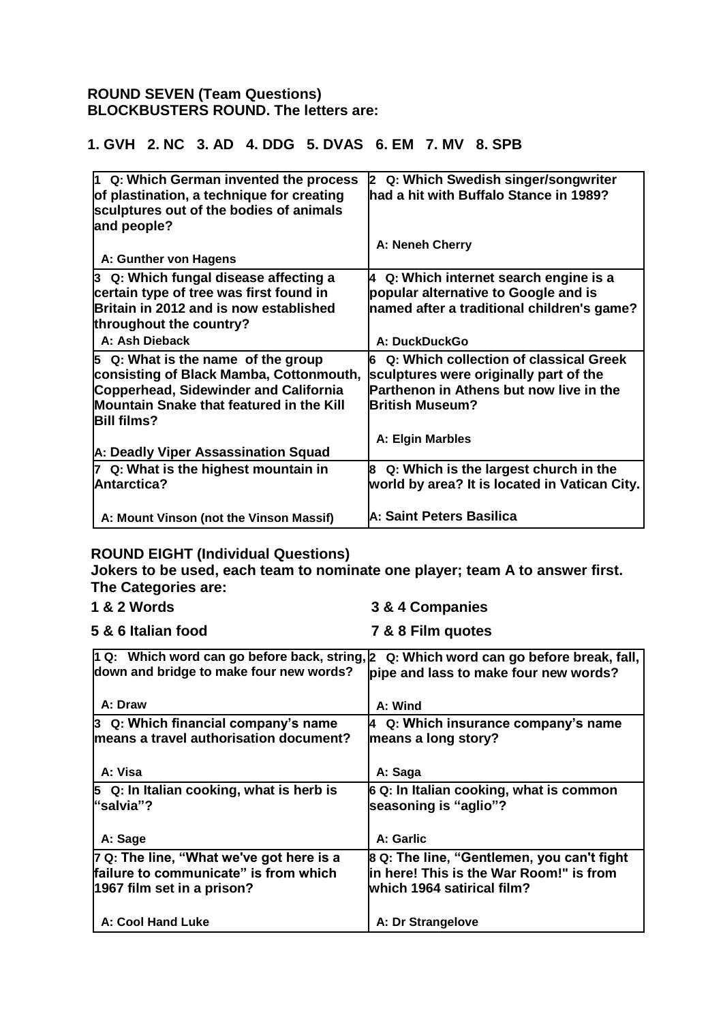### **ROUND SEVEN (Team Questions) BLOCKBUSTERS ROUND. The letters are:**

## **1. GVH 2. NC 3. AD 4. DDG 5. DVAS 6. EM 7. MV 8. SPB**

| $\vert$ 1 Q: Which German invented the process | 2 Q: Which Swedish singer/songwriter          |
|------------------------------------------------|-----------------------------------------------|
| of plastination, a technique for creating      | had a hit with Buffalo Stance in 1989?        |
| sculptures out of the bodies of animals        |                                               |
| and people?                                    |                                               |
|                                                | A: Neneh Cherry                               |
| A: Gunther von Hagens                          |                                               |
| 3 Q: Which fungal disease affecting a          | 4 Q: Which internet search engine is a        |
| certain type of tree was first found in        | popular alternative to Google and is          |
| Britain in 2012 and is now established         | named after a traditional children's game?    |
| throughout the country?                        |                                               |
| A: Ash Dieback                                 | A: DuckDuckGo                                 |
| 5 Q: What is the name of the group             | 6 Q: Which collection of classical Greek      |
| consisting of Black Mamba, Cottonmouth,        | sculptures were originally part of the        |
| <b>Copperhead, Sidewinder and California</b>   | Parthenon in Athens but now live in the       |
| Mountain Snake that featured in the Kill       | <b>British Museum?</b>                        |
| <b>Bill films?</b>                             |                                               |
|                                                | A: Elgin Marbles                              |
| A: Deadly Viper Assassination Squad            |                                               |
| 7 Q: What is the highest mountain in           | 8 Q: Which is the largest church in the       |
| <b>Antarctica?</b>                             | world by area? It is located in Vatican City. |
|                                                |                                               |
| A: Mount Vinson (not the Vinson Massif)        | A: Saint Peters Basilica                      |

### **ROUND EIGHT (Individual Questions)**

**Jokers to be used, each team to nominate one player; team A to answer first. The Categories are:**

- **1 & 2 Words 3 & 4 Companies**
	-
- **5 & 6 Italian food 7 & 8 Film quotes**

| down and bridge to make four new words?                                                                         | 1 Q: Which word can go before back, string, 2 Q: Which word can go before break, fall,<br>pipe and lass to make four new words? |
|-----------------------------------------------------------------------------------------------------------------|---------------------------------------------------------------------------------------------------------------------------------|
| A: Draw                                                                                                         | A: Wind                                                                                                                         |
| $ 3 \, \Omega$ : Which financial company's name<br>means a travel authorisation document?                       | Q: Which insurance company's name<br>4<br>means a long story?                                                                   |
| A: Visa                                                                                                         | A: Saga                                                                                                                         |
| $\vert$ 3 Q: In Italian cooking, what is herb is<br>"salvia"?                                                   | 6 Q: In Italian cooking, what is common<br>seasoning is "aglio"?                                                                |
| A: Sage                                                                                                         | A: Garlic                                                                                                                       |
| 7 Q: The line, "What we've got here is a<br>failure to communicate" is from which<br>1967 film set in a prison? | 8 Q: The line, "Gentlemen, you can't fight<br>lin here! This is the War Room!" is from<br>lwhich 1964 satirical film?           |
| A: Cool Hand Luke                                                                                               | A: Dr Strangelove                                                                                                               |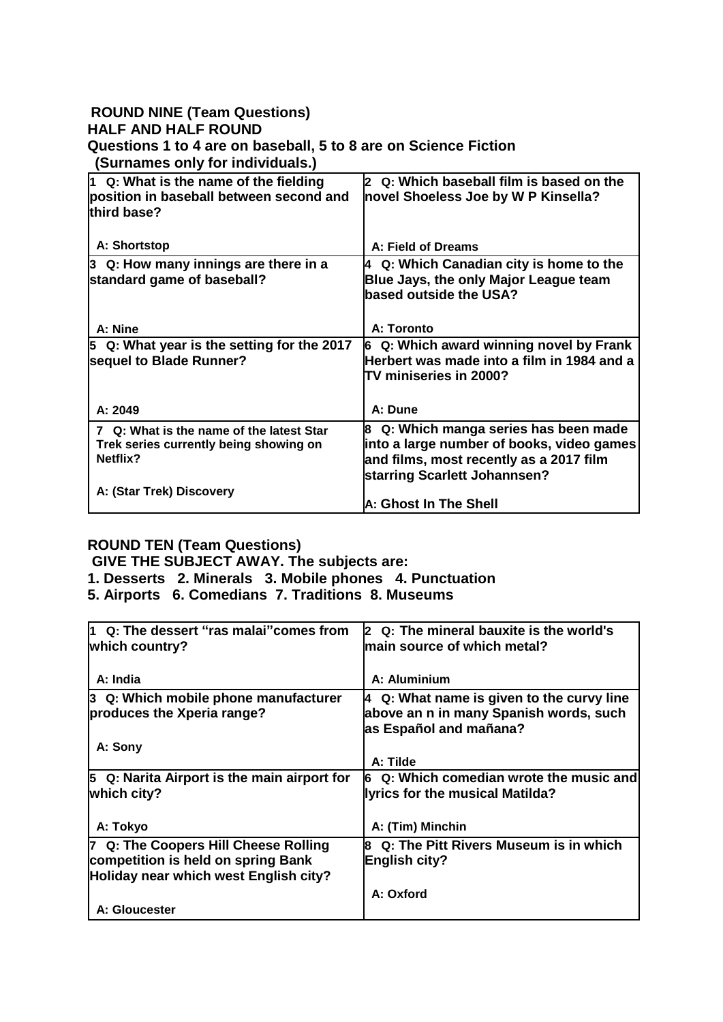### **ROUND NINE (Team Questions) HALF AND HALF ROUND Questions 1 to 4 are on baseball, 5 to 8 are on Science Fiction (Surnames only for individuals.)**

| $\vert$ 1 Q: What is the name of the fielding<br>position in baseball between second and<br>third base? | 2 Q: Which baseball film is based on the<br>novel Shoeless Joe by W P Kinsella?                                                                               |
|---------------------------------------------------------------------------------------------------------|---------------------------------------------------------------------------------------------------------------------------------------------------------------|
| A: Shortstop                                                                                            | A: Field of Dreams                                                                                                                                            |
| 3 Q: How many innings are there in a<br>standard game of baseball?                                      | Q: Which Canadian city is home to the<br>4<br>Blue Jays, the only Major League team<br>based outside the USA?                                                 |
| A: Nine                                                                                                 | A: Toronto                                                                                                                                                    |
| 5 Q: What year is the setting for the 2017<br>sequel to Blade Runner?                                   | Q: Which award winning novel by Frank<br>l6<br>Herbert was made into a film in 1984 and a<br><b>TV miniseries in 2000?</b>                                    |
| A: 2049                                                                                                 | A: Dune                                                                                                                                                       |
| 7 Q: What is the name of the latest Star<br>Trek series currently being showing on<br>Netflix?          | 8 Q: Which manga series has been made<br>into a large number of books, video games<br>and films, most recently as a 2017 film<br>starring Scarlett Johannsen? |
| A: (Star Trek) Discovery                                                                                | A: Ghost In The Shell                                                                                                                                         |

## **ROUND TEN (Team Questions)**

**GIVE THE SUBJECT AWAY. The subjects are:**

**1. Desserts 2. Minerals 3. Mobile phones 4. Punctuation**

**5. Airports 6. Comedians 7. Traditions 8. Museums**

| 1 Q: The dessert "ras malai" comes from<br>which country? | 2 Q: The mineral bauxite is the world's<br>lmain source of which metal? |
|-----------------------------------------------------------|-------------------------------------------------------------------------|
|                                                           |                                                                         |
| A: India                                                  | A: Aluminium                                                            |
| 3 Q: Which mobile phone manufacturer                      | $ 4 \tQ$ : What name is given to the curvy line                         |
| produces the Xperia range?                                | above an n in many Spanish words, such                                  |
|                                                           | as Español and mañana?                                                  |
| A: Sony                                                   |                                                                         |
|                                                           | A: Tilde                                                                |
| 5 Q: Narita Airport is the main airport for               | Q: Which comedian wrote the music and<br>16                             |
| which city?                                               | llyrics for the musical Matilda?                                        |
|                                                           |                                                                         |
| A: Tokyo                                                  | A: (Tim) Minchin                                                        |
| 7 Q: The Coopers Hill Cheese Rolling                      | Q: The Pitt Rivers Museum is in which<br>l8                             |
| competition is held on spring Bank                        | <b>English city?</b>                                                    |
| Holiday near which west English city?                     |                                                                         |
|                                                           | A: Oxford                                                               |
| A: Gloucester                                             |                                                                         |